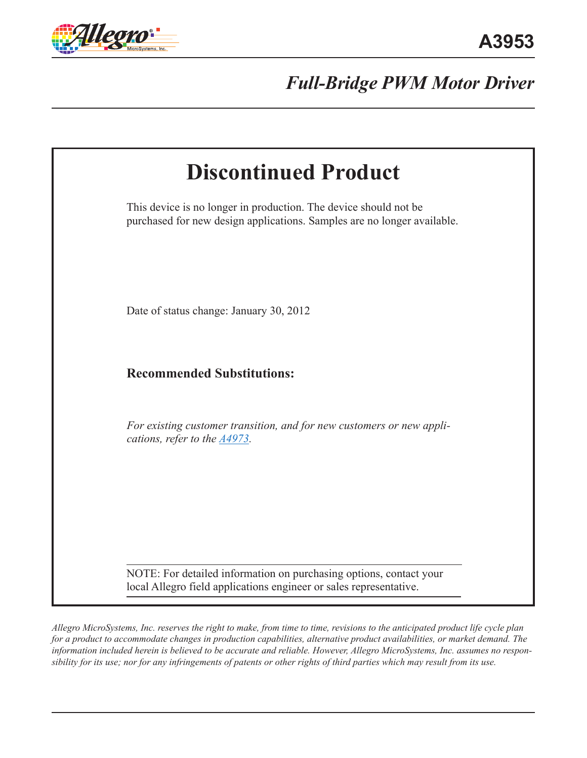

*Full-Bridge PWM Motor Driver*

| <b>Discontinued Product</b>                                                                                                                 |  |
|---------------------------------------------------------------------------------------------------------------------------------------------|--|
| This device is no longer in production. The device should not be<br>purchased for new design applications. Samples are no longer available. |  |
| Date of status change: January 30, 2012                                                                                                     |  |
| <b>Recommended Substitutions:</b>                                                                                                           |  |
| For existing customer transition, and for new customers or new appli-<br>cations, refer to the 44973.                                       |  |
| NOTE: For detailed information on purchasing options, contact your<br>local Allegro field applications engineer or sales representative.    |  |

*Allegro MicroSystems, Inc. reserves the right to make, from time to time, revisions to the anticipated product life cycle plan for a product to accommodate changes in production capabilities, alternative product availabilities, or market demand. The information included herein is believed to be accurate and reliable. However, Allegro MicroSystems, Inc. assumes no responsibility for its use; nor for any infringements of patents or other rights of third parties which may result from its use.*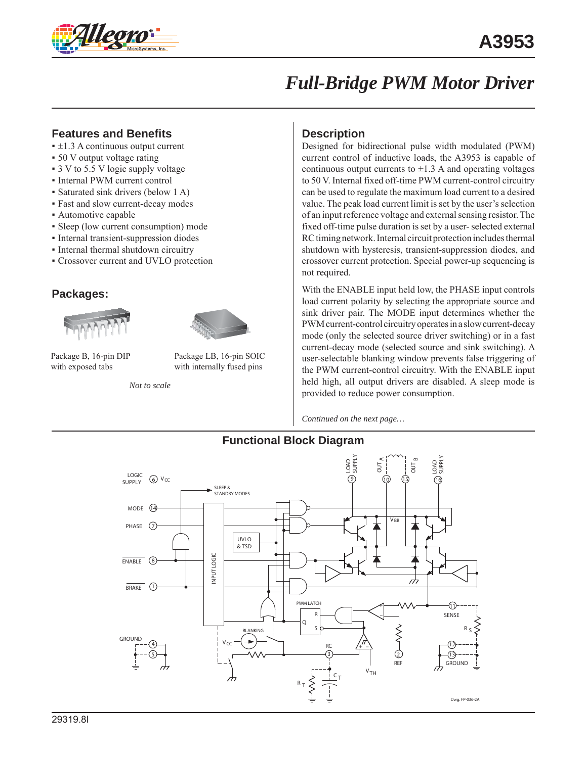

# *Full-Bridge PWM Motor Driver*

# **Features and Benefits**

- $\pm 1.3$  A continuous output current
- 50 V output voltage rating
- 3 V to 5.5 V logic supply voltage
- Internal PWM current control
- Saturated sink drivers (below 1 A)
- Fast and slow current-decay modes
- Automotive capable
- Sleep (low current consumption) mode
- Internal transient-suppression diodes
- Internal thermal shutdown circuitry
- Crossover current and UVLO protection

### **Packages:**





Package B, 16-pin DIP with exposed tabs

Package LB, 16-pin SOIC with internally fused pins

*Not to scale*

#### **Description**

Designed for bidirectional pulse width modulated (PWM) current control of inductive loads, the A3953 is capable of continuous output currents to  $\pm 1.3$  A and operating voltages to 50 V. Internal fixed off-time PWM current-control circuitry can be used to regulate the maximum load current to a desired value. The peak load current limit is set by the user's selection of an input reference voltage and external sensing resistor. The fixed off-time pulse duration is set by a user- selected external RC timing network. Internal circuit protection includes thermal shutdown with hysteresis, transient-suppression diodes, and crossover current protection. Special power-up sequencing is not required.

With the ENABLE input held low, the PHASE input controls load current polarity by selecting the appropriate source and sink driver pair. The MODE input determines whether the PWM current-control circuitry operates in a slow current-decay mode (only the selected source driver switching) or in a fast current-decay mode (selected source and sink switching). A user-selectable blanking window prevents false triggering of the PWM current-control circuitry. With the ENABLE input held high, all output drivers are disabled. A sleep mode is provided to reduce power consumption.

*Continued on the next page…*



# **Functional Block Diagram**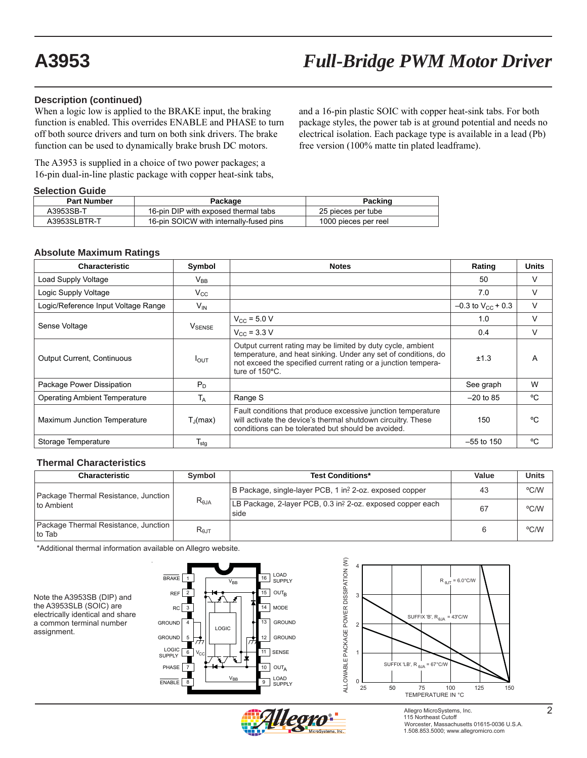#### **Description (continued)**

When a logic low is applied to the BRAKE input, the braking function is enabled. This overrides ENABLE and PHASE to turn off both source drivers and turn on both sink drivers. The brake function can be used to dynamically brake brush DC motors.

The A3953 is supplied in a choice of two power packages; a 16-pin dual-in-line plastic package with copper heat-sink tabs, and a 16-pin plastic SOIC with copper heat-sink tabs. For both package styles, the power tab is at ground potential and needs no electrical isolation. Each package type is available in a lead (Pb) free version (100% matte tin plated leadframe).

#### **Selection Guide**

| <b>Part Number</b> | Package                                 | Packing              |
|--------------------|-----------------------------------------|----------------------|
| A3953SB-T          | 16-pin DIP with exposed thermal tabs    | 25 pieces per tube   |
| A3953SLBTR-T       | 16-pin SOICW with internally-fused pins | 1000 pieces per reel |

#### **Absolute Maximum Ratings**

| <b>Characteristic</b>                | Symbol                    | <b>Notes</b>                                                                                                                                                                                                      | Rating                   | <b>Units</b> |
|--------------------------------------|---------------------------|-------------------------------------------------------------------------------------------------------------------------------------------------------------------------------------------------------------------|--------------------------|--------------|
| Load Supply Voltage                  | $\mathsf{V}_\mathsf{BB}$  |                                                                                                                                                                                                                   | 50                       | V            |
| Logic Supply Voltage                 | $\rm V_{CC}$              |                                                                                                                                                                                                                   | 7.0                      | V            |
| Logic/Reference Input Voltage Range  | $V_{IN}$                  |                                                                                                                                                                                                                   | $-0.3$ to $V_{CC}$ + 0.3 | V            |
|                                      |                           | $V_{CC}$ = 5.0 V                                                                                                                                                                                                  | 1.0                      | V            |
| Sense Voltage                        | <b>VSENSE</b>             | $V_{CC}$ = 3.3 V                                                                                                                                                                                                  | 0.4                      | V            |
| <b>Output Current, Continuous</b>    | $I_{\text{OUT}}$          | Output current rating may be limited by duty cycle, ambient<br>temperature, and heat sinking. Under any set of conditions, do<br>not exceed the specified current rating or a junction tempera-<br>ture of 150°C. | ±1.3                     | A            |
| Package Power Dissipation            | $P_D$                     |                                                                                                                                                                                                                   | See graph                | W            |
| <b>Operating Ambient Temperature</b> | $\mathsf{T}_\mathsf{A}$   | Range S                                                                                                                                                                                                           | $-20$ to 85              | °C           |
| Maximum Junction Temperature         | $T_{\rm d}$ (max)         | Fault conditions that produce excessive junction temperature<br>will activate the device's thermal shutdown circuitry. These<br>conditions can be tolerated but should be avoided.                                | 150                      | °C           |
| Storage Temperature                  | $\mathsf{T}_{\text{stg}}$ |                                                                                                                                                                                                                   | $-55$ to 150             | °C           |

#### **Thermal Characteristics**

| <b>Characteristic</b><br><b>Test Conditions*</b><br>Symbol |                | Value                                                              | <b>Units</b> |      |
|------------------------------------------------------------|----------------|--------------------------------------------------------------------|--------------|------|
| Package Thermal Resistance, Junction                       |                | B Package, single-layer PCB, 1 in? 2-oz. exposed copper            | 43           | °C/W |
| I to Ambient                                               | $R_{\theta$ JA | LB Package, 2-layer PCB, 0.3 in? 2-oz. exposed copper each<br>side | 67           | °C/W |
| Package Thermal Resistance, Junction<br>Ito Tab            | $R_{0,1T}$     |                                                                    |              | °C/W |

\*Additional thermal information available on Allegro website.

Note the A3953SB (DIP) and the A3953SLB (SOIC) are electrically identical and share a common terminal number assignment.







Allegro MicroSystems, Inc. 2 2<br>115 Northeast Cutoff Worcester, Massachusetts 01615-0036 U.S.A. 1.508.853.5000; www.allegromicro.com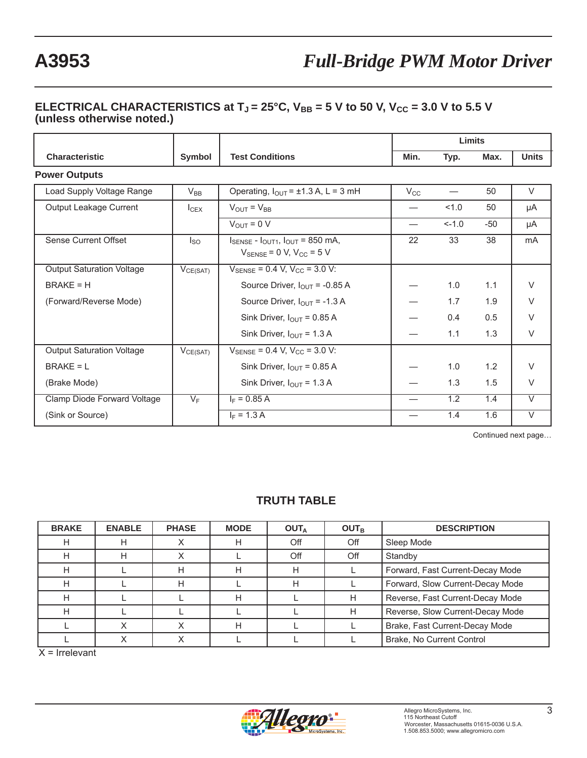## ELECTRICAL CHARACTERISTICS at T<sub>J</sub> = 25°C, V<sub>BB</sub> = 5 V to 50 V, V<sub>CC</sub> = 3.0 V to 5.5 V **(unless otherwise noted.)**

|                                  |                  |                                                                                                                        |              | Limits   |       |                   |
|----------------------------------|------------------|------------------------------------------------------------------------------------------------------------------------|--------------|----------|-------|-------------------|
| <b>Characteristic</b>            | Symbol           | <b>Test Conditions</b>                                                                                                 | Min.         | Typ.     | Max.  | <b>Units</b>      |
| <b>Power Outputs</b>             |                  |                                                                                                                        |              |          |       |                   |
| Load Supply Voltage Range        | $V_{BB}$         | Operating, $I_{OUT} = \pm 1.3$ A, L = 3 mH                                                                             | $V_{\rm CC}$ |          | 50    | $\vee$            |
| Output Leakage Current           | $I_{CEX}$        | $V_{\text{OUT}} = V_{\text{BB}}$                                                                                       |              | 1.0      | 50    | μA                |
|                                  |                  | $V_{\text{OUT}} = 0 V$                                                                                                 |              | $< -1.0$ | $-50$ | μA                |
| Sense Current Offset             | l <sub>so</sub>  | $I_{\text{SENSE}}$ - $I_{\text{OUT1}}$ , $I_{\text{OUT}}$ = 850 mA,<br>$V_{\text{SENSE}} = 0$ V, $V_{\text{CC}} = 5$ V | 22           | 33       | 38    | m <sub>A</sub>    |
| <b>Output Saturation Voltage</b> | $V_{CE(SAT)}$    | $V_{\text{SENSE}} = 0.4 \text{ V}, V_{\text{CC}} = 3.0 \text{ V}$ :                                                    |              |          |       |                   |
| $BRAKE = H$                      |                  | Source Driver, $I_{\text{OUT}}$ = -0.85 A                                                                              |              | 1.0      | 1.1   | $\vee$            |
| (Forward/Reverse Mode)           |                  | Source Driver, $I_{\text{OUT}} = -1.3$ A                                                                               |              | 1.7      | 1.9   | $\vee$            |
|                                  |                  | Sink Driver, $I_{\text{OUT}} = 0.85$ A                                                                                 |              | 0.4      | 0.5   | $\vee$            |
|                                  |                  | Sink Driver, $I_{\text{OUT}}$ = 1.3 A                                                                                  |              | 1.1      | 1.3   | $\vee$            |
| <b>Output Saturation Voltage</b> | $V_{CE(SAT)}$    | $V_{\text{SENSE}} = 0.4 \text{ V}, V_{\text{CC}} = 3.0 \text{ V}$ :                                                    |              |          |       |                   |
| $BRAKE = L$                      |                  | Sink Driver, $I_{\text{OUT}} = 0.85$ A                                                                                 |              | 1.0      | 1.2   | V                 |
| (Brake Mode)                     |                  | Sink Driver, $I_{OUT} = 1.3 A$                                                                                         |              | 1.3      | 1.5   | $\vee$            |
| Clamp Diode Forward Voltage      | $\overline{V_F}$ | $I_F = 0.85 A$                                                                                                         |              | 1.2      | 1.4   | $\overline{\vee}$ |
| (Sink or Source)                 |                  | $I_F = 1.3 A$                                                                                                          |              | 1.4      | 1.6   | $\vee$            |

Continued next page…

### **TRUTH TABLE**

| <b>BRAKE</b> | <b>ENABLE</b> | <b>PHASE</b> | <b>MODE</b> | <b>OUTA</b> | <b>OUTB</b> | <b>DESCRIPTION</b>               |
|--------------|---------------|--------------|-------------|-------------|-------------|----------------------------------|
| H            | Н             |              |             | Off         | Off         | Sleep Mode                       |
| H            | Н             |              |             | Off         | Off         | Standby                          |
| н            |               |              |             |             |             | Forward, Fast Current-Decay Mode |
| н            |               | н            |             |             |             | Forward, Slow Current-Decay Mode |
| н            |               |              | н           |             | н           | Reverse, Fast Current-Decay Mode |
| H            |               |              |             |             | H           | Reverse, Slow Current-Decay Mode |
|              | $\check{ }$   |              | H           |             |             | Brake, Fast Current-Decay Mode   |
|              |               |              |             |             |             | Brake, No Current Control        |

 $X = I$ rrelevant

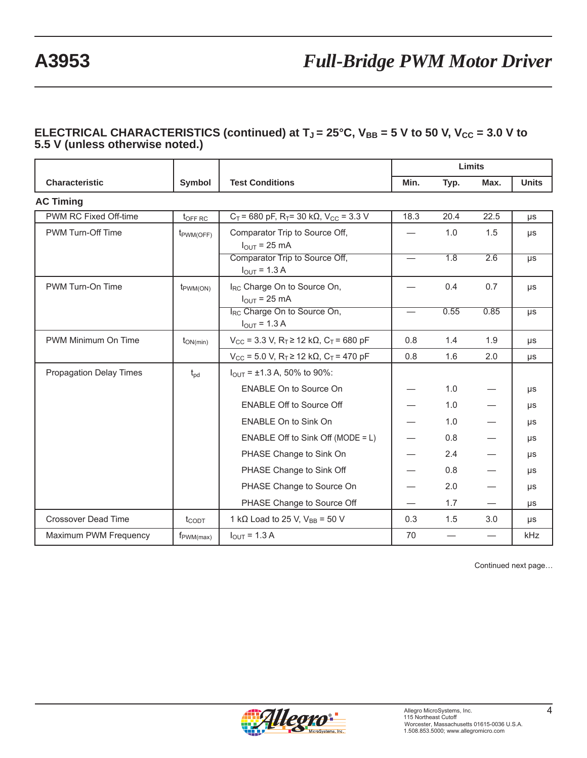### **ELECTRICAL CHARACTERISTICS (continued) at**  $T_J = 25^{\circ}$ **C,**  $V_{BB} = 5$  **V to 50 V,**  $V_{CC} = 3.0$  **V to 5.5 V (unless otherwise noted.)**

|                                |                       |                                                                          | Limits |      |      |              |
|--------------------------------|-----------------------|--------------------------------------------------------------------------|--------|------|------|--------------|
| <b>Characteristic</b>          | Symbol                | <b>Test Conditions</b>                                                   | Min.   | Typ. | Max. | <b>Units</b> |
| <b>AC Timing</b>               |                       |                                                                          |        |      |      |              |
| PWM RC Fixed Off-time          | $t_{\text{OFF RC}}$   | $C_T$ = 680 pF, R <sub>T</sub> = 30 k $\Omega$ , V <sub>CC</sub> = 3.3 V | 18.3   | 20.4 | 22.5 | $\mu s$      |
| <b>PWM Turn-Off Time</b>       | $t_{\text{PWM(OFF)}}$ | Comparator Trip to Source Off,<br>$I_{OUT}$ = 25 mA                      |        | 1.0  | 1.5  | μs           |
|                                |                       | Comparator Trip to Source Off,<br>$I_{OUT} = 1.3 A$                      |        | 1.8  | 2.6  | $\mu s$      |
| PWM Turn-On Time               | $t_{\text{PWM(ON)}}$  | I <sub>RC</sub> Charge On to Source On,<br>$I_{OUT}$ = 25 mA             |        | 0.4  | 0.7  | μs           |
|                                |                       | I <sub>RC</sub> Charge On to Source On,<br>$I_{OUT} = 1.3 A$             |        | 0.55 | 0.85 | $\mu s$      |
| PWM Minimum On Time            | $t_{ON(min)}$         | $V_{CC}$ = 3.3 V, R <sub>T</sub> ≥ 12 kΩ, C <sub>T</sub> = 680 pF        | 0.8    | 1.4  | 1.9  | μs           |
|                                |                       | $V_{CC}$ = 5.0 V, R <sub>T</sub> ≥ 12 kΩ, C <sub>T</sub> = 470 pF        | 0.8    | 1.6  | 2.0  | $\mu s$      |
| <b>Propagation Delay Times</b> | $t_{\text{pd}}$       | $I_{\text{OUT}} = \pm 1.3 \text{ A}$ , 50% to 90%:                       |        |      |      |              |
|                                |                       | <b>ENABLE On to Source On</b>                                            |        | 1.0  |      | μs           |
|                                |                       | <b>ENABLE Off to Source Off</b>                                          |        | 1.0  |      | $\mu s$      |
|                                |                       | <b>ENABLE On to Sink On</b>                                              |        | 1.0  |      | μs           |
|                                |                       | ENABLE Off to Sink Off (MODE = $L$ )                                     |        | 0.8  |      | $\mu s$      |
|                                |                       | PHASE Change to Sink On                                                  |        | 2.4  |      | μs           |
|                                |                       | PHASE Change to Sink Off                                                 |        | 0.8  |      | μs           |
|                                |                       | PHASE Change to Source On                                                |        | 2.0  |      | μs           |
|                                |                       | PHASE Change to Source Off                                               |        | 1.7  |      | μs           |
| Crossover Dead Time            | t <sub>copt</sub>     | 1 k $\Omega$ Load to 25 V, V <sub>BB</sub> = 50 V                        | 0.3    | 1.5  | 3.0  | μs           |
| Maximum PWM Frequency          | $f_{\text{PWM(max)}}$ | $I_{OUT} = 1.3 A$                                                        | 70     |      |      | kHz          |

Continued next page…

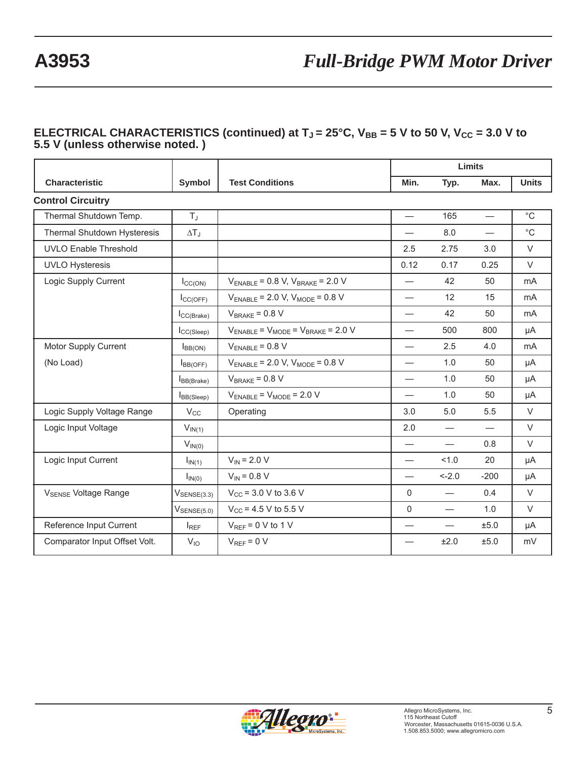### ELECTRICAL CHARACTERISTICS (continued) at T<sub>J</sub> = 25°C, V<sub>BB</sub> = 5 V to 50 V, V<sub>CC</sub> = 3.0 V to **5.5 V (unless otherwise noted. )**

|                                        |                         |                                             | Limits                   |                          |                          |              |
|----------------------------------------|-------------------------|---------------------------------------------|--------------------------|--------------------------|--------------------------|--------------|
| <b>Characteristic</b>                  | Symbol                  | <b>Test Conditions</b>                      |                          | Typ.                     | Max.                     | <b>Units</b> |
| <b>Control Circuitry</b>               |                         |                                             |                          |                          |                          |              |
| Thermal Shutdown Temp.                 | $T_J$                   |                                             | $\overline{\phantom{0}}$ | 165                      | $\overline{\phantom{0}}$ | $^{\circ}$ C |
| Thermal Shutdown Hysteresis            | $\Delta T_J$            |                                             | $\overline{\phantom{0}}$ | 8.0                      | $\overline{\phantom{0}}$ | $^{\circ}C$  |
| <b>UVLO Enable Threshold</b>           |                         |                                             | 2.5                      | 2.75                     | 3.0                      | $\vee$       |
| <b>UVLO Hysteresis</b>                 |                         |                                             | 0.12                     | 0.17                     | 0.25                     | $\vee$       |
| Logic Supply Current                   | $I_{\text{CC(ON)}}$     | $V_{ENABLE} = 0.8 V, V_{BRAKE} = 2.0 V$     |                          | 42                       | 50                       | mA           |
|                                        | $I_{\text{CC(OFF)}}$    | $V_{ENABLE} = 2.0 V, V_{MODE} = 0.8 V$      | $\overline{\phantom{0}}$ | $12 \overline{ }$        | 15                       | mA           |
|                                        | ICC(Brake)              | $V_{BRAKF}$ = 0.8 V                         | $\overline{\phantom{0}}$ | 42                       | 50                       | mA           |
|                                        | $I_{\text{CC(Sleep)}}$  | $V_{ENABLE} = V_{MODE} = V_{BRAKE} = 2.0 V$ | $\overline{\phantom{0}}$ | 500                      | 800                      | μA           |
| Motor Supply Current                   | $I_{\text{BB(ON)}}$     | $V_{ENABLE} = 0.8 V$                        | $\overline{\phantom{0}}$ | 2.5                      | 4.0                      | mA           |
| (No Load)                              | $I_{BB(OFF)}$           | $V_{ENABLE} = 2.0 V, V_{MODE} = 0.8 V$      | $\overline{\phantom{0}}$ | 1.0                      | 50                       | μA           |
|                                        | I <sub>BB(Brake)</sub>  | $V_{BRAKE} = 0.8 V$                         | $\overline{\phantom{0}}$ | 1.0                      | 50                       | μA           |
|                                        | $I_{BB(Sleep)}$         | $V_{ENABLE} = V_{MODE} = 2.0 V$             | $\overline{\phantom{0}}$ | 1.0                      | 50                       | μA           |
| Logic Supply Voltage Range             | $V_{\rm CC}$            | Operating                                   | 3.0                      | 5.0                      | 5.5                      | $\vee$       |
| Logic Input Voltage                    | $V_{IN(1)}$             |                                             | 2.0                      |                          |                          | $\vee$       |
|                                        | $V_{IN(0)}$             |                                             |                          | $\overline{\phantom{0}}$ | 0.8                      | $\vee$       |
| Logic Input Current                    | I <sub>IN(1)</sub>      | $V_{IN}$ = 2.0 V                            | $\overline{\phantom{0}}$ | 1.0                      | 20                       | μA           |
|                                        | $I_{IN(0)}$             | $V_{IN}$ = 0.8 V                            | $\overline{\phantom{0}}$ | $<-2.0$                  | $-200$                   | μA           |
| <b>V<sub>SENSE</sub></b> Voltage Range | $V_{\text{SENSE}(3.3)}$ | $V_{CC}$ = 3.0 V to 3.6 V                   | $\mathbf 0$              | $\overline{\phantom{0}}$ | 0.4                      | $\vee$       |
|                                        | $V_{SENSE(5.0)}$        | $V_{\text{CC}}$ = 4.5 V to 5.5 V            | 0                        | $\overline{\phantom{0}}$ | 1.0                      | $\vee$       |
| Reference Input Current                | $I_{REF}$               | $V_{RFF}$ = 0 V to 1 V                      |                          |                          | ±5.0                     | μA           |
| Comparator Input Offset Volt.          | $V_{10}$                | $V_{REF} = 0 V$                             |                          | ±2.0                     | ±5.0                     | mV           |

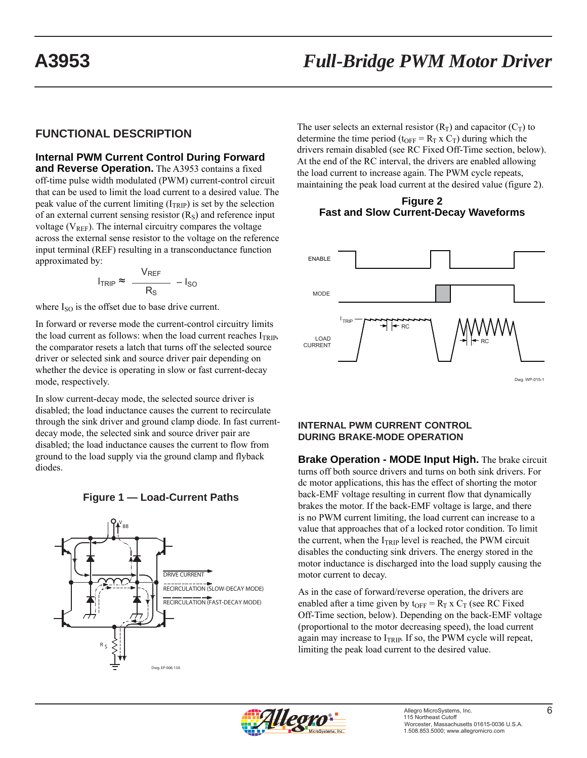# **FUNCTIONAL DESCRIPTION**

### **Internal PWM Current Control During Forward**

**and Reverse Operation.** The A3953 contains a fixed off-time pulse width modulated (PWM) current-control circuit that can be used to limit the load current to a desired value. The peak value of the current limiting  $(I_{TRIP})$  is set by the selection of an external current sensing resistor  $(R<sub>S</sub>)$  and reference input voltage ( $V_{REF}$ ). The internal circuitry compares the voltage across the external sense resistor to the voltage on the reference input terminal (REF) resulting in a transconductance function approximated by:

$$
I_{TRIP} \approx \frac{V_{REF}}{R_S} - I_{SO}
$$

where  $I_{SO}$  is the offset due to base drive current.

In forward or reverse mode the current-control circuitry limits the load current as follows: when the load current reaches  $I_{TRIP}$ , the comparator resets a latch that turns off the selected source driver or selected sink and source driver pair depending on whether the device is operating in slow or fast current-decay mode, respectively.

In slow current-decay mode, the selected source driver is disabled; the load inductance causes the current to recirculate through the sink driver and ground clamp diode. In fast currentdecay mode, the selected sink and source driver pair are disabled; the load inductance causes the current to flow from ground to the load supply via the ground clamp and flyback diodes.





The user selects an external resistor  $(R_T)$  and capacitor  $(C_T)$  to determine the time period ( $t_{\text{OFF}} = R_{\text{T}} x C_{\text{T}}$ ) during which the drivers remain disabled (see RC Fixed Off-Time section, below). At the end of the RC interval, the drivers are enabled allowing the load current to increase again. The PWM cycle repeats, maintaining the peak load current at the desired value (figure 2).

#### **Figure 2 Fast and Slow Current-Decay Waveforms**



#### **INTERNAL PWM CURRENT CONTROL DURING BRAKE-MODE OPERATION**

**Brake Operation - MODE Input High.** The brake circuit turns off both source drivers and turns on both sink drivers. For dc motor applications, this has the effect of shorting the motor back-EMF voltage resulting in current flow that dynamically brakes the motor. If the back-EMF voltage is large, and there is no PWM current limiting, the load current can increase to a value that approaches that of a locked rotor condition. To limit the current, when the  $I_{TRIP}$  level is reached, the PWM circuit disables the conducting sink drivers. The energy stored in the motor inductance is discharged into the load supply causing the motor current to decay.

As in the case of forward/reverse operation, the drivers are enabled after a time given by  $t_{\text{OFF}} = R_T x C_T$  (see RC Fixed Off-Time section, below). Depending on the back-EMF voltage (proportional to the motor decreasing speed), the load current again may increase to  $I_{TRIP}$ . If so, the PWM cycle will repeat, limiting the peak load current to the desired value.

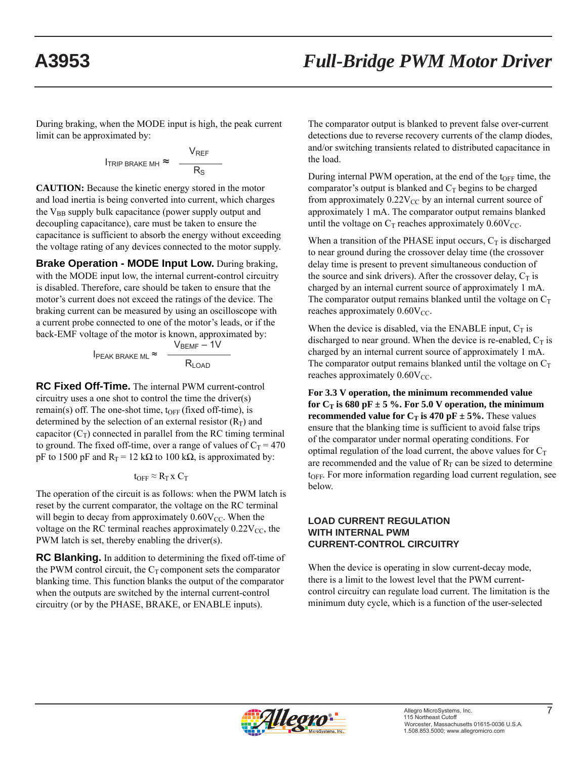During braking, when the MODE input is high, the peak current limit can be approximated by:

$$
I_{TRIP \text{ BRAKE MH}} \approx \frac{V_{REF}}{R_S}
$$

**CAUTION:** Because the kinetic energy stored in the motor and load inertia is being converted into current, which charges the  $V_{BB}$  supply bulk capacitance (power supply output and decoupling capacitance), care must be taken to ensure the capacitance is sufficient to absorb the energy without exceeding the voltage rating of any devices connected to the motor supply.

**Brake Operation - MODE Input Low.** During braking, with the MODE input low, the internal current-control circuitry is disabled. Therefore, care should be taken to ensure that the motor's current does not exceed the ratings of the device. The braking current can be measured by using an oscilloscope with a current probe connected to one of the motor's leads, or if the back-EMF voltage of the motor is known, approximated by:

$$
I_{\text{PEAK BRAKE ML}} \approx \frac{V_{\text{BEMF}} - 1V}{R_{\text{LOAD}}}
$$

**RC Fixed Off-Time.** The internal PWM current-control circuitry uses a one shot to control the time the driver(s) remain(s) off. The one-shot time,  $t_{OFF}$  (fixed off-time), is determined by the selection of an external resistor  $(R_T)$  and capacitor  $(C_T)$  connected in parallel from the RC timing terminal to ground. The fixed off-time, over a range of values of  $C_T = 470$ pF to 1500 pF and R<sub>T</sub> = 12 kΩ to 100 kΩ, is approximated by:

$$
t_{OFF}\approx R_T\,x\;C_T
$$

The operation of the circuit is as follows: when the PWM latch is reset by the current comparator, the voltage on the RC terminal will begin to decay from approximately  $0.60V_{CC}$ . When the voltage on the RC terminal reaches approximately  $0.22V_{CC}$ , the PWM latch is set, thereby enabling the driver(s).

**RC Blanking.** In addition to determining the fixed off-time of the PWM control circuit, the  $C_T$  component sets the comparator blanking time. This function blanks the output of the comparator when the outputs are switched by the internal current-control circuitry (or by the PHASE, BRAKE, or ENABLE inputs).

The comparator output is blanked to prevent false over-current detections due to reverse recovery currents of the clamp diodes, and/or switching transients related to distributed capacitance in the load.

During internal PWM operation, at the end of the  $t_{\text{OFF}}$  time, the comparator's output is blanked and  $C<sub>T</sub>$  begins to be charged from approximately  $0.22V_{CC}$  by an internal current source of approximately 1 mA. The comparator output remains blanked until the voltage on  $C_T$  reaches approximately  $0.60V_{CC}$ .

When a transition of the PHASE input occurs,  $C_T$  is discharged to near ground during the crossover delay time (the crossover delay time is present to prevent simultaneous conduction of the source and sink drivers). After the crossover delay,  $C_T$  is charged by an internal current source of approximately 1 mA. The comparator output remains blanked until the voltage on  $C_T$ reaches approximately  $0.60V_{CC}$ .

When the device is disabled, via the ENABLE input,  $C_T$  is discharged to near ground. When the device is re-enabled,  $C_T$  is charged by an internal current source of approximately 1 mA. The comparator output remains blanked until the voltage on  $C_T$ reaches approximately  $0.60V_{CC}$ .

**For 3.3 V operation, the minimum recommended value**  for  $C_T$  is 680 pF  $\pm$  5 %. For 5.0 V operation, the minimum **recommended value for**  $C_T$  **is 470 pF**  $\pm$  **5%.** These values ensure that the blanking time is sufficient to avoid false trips of the comparator under normal operating conditions. For optimal regulation of the load current, the above values for  $C_T$ are recommended and the value of  $R_T$  can be sized to determine t<sub>OFF</sub>. For more information regarding load current regulation, see below.

#### **LOAD CURRENT REGULATION WITH INTERNAL PWM CURRENT-CONTROL CIRCUITRY**

When the device is operating in slow current-decay mode, there is a limit to the lowest level that the PWM currentcontrol circuitry can regulate load current. The limitation is the minimum duty cycle, which is a function of the user-selected

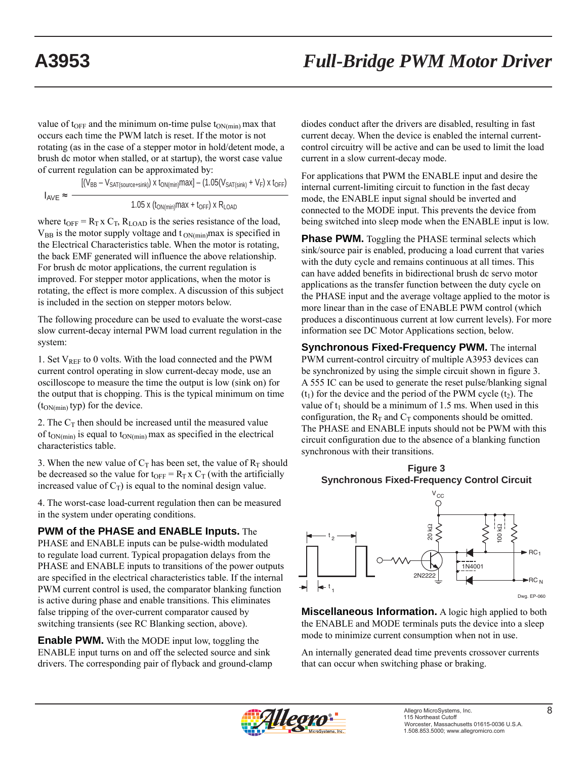value of t<sub>OFF</sub> and the minimum on-time pulse  $t_{ON(min)}$  max that occurs each time the PWM latch is reset. If the motor is not rotating (as in the case of a stepper motor in hold/detent mode, a brush dc motor when stalled, or at startup), the worst case value of current regulation can be approximated by:

 $[(V_{BB} - V_{SAT(source+sink)}) \times t_{ON(min)}$ max $] - (1.05(V_{SAT(sink)} + V_F) \times t_{OFF})$  $I_{AVF} \approx -$ 

 $1.05$  x ( $t_{ON(min)}$ max +  $t_{OFF}$ ) x  $R_{LOAD}$ 

where  $t_{OFF} = R_T x C_T$ ,  $R_{LOAD}$  is the series resistance of the load,  $V_{BB}$  is the motor supply voltage and t  $_{ON(min)}$  max is specified in the Electrical Characteristics table. When the motor is rotating, the back EMF generated will influence the above relationship. For brush dc motor applications, the current regulation is improved. For stepper motor applications, when the motor is rotating, the effect is more complex. A discussion of this subject is included in the section on stepper motors below.

The following procedure can be used to evaluate the worst-case slow current-decay internal PWM load current regulation in the system:

1. Set  $V_{REF}$  to 0 volts. With the load connected and the PWM current control operating in slow current-decay mode, use an oscilloscope to measure the time the output is low (sink on) for the output that is chopping. This is the typical minimum on time  $(t_{ON(min)}$  typ) for the device.

2. The  $C_T$  then should be increased until the measured value of  $t_{ON(min)}$  is equal to  $t_{ON(min)}$  max as specified in the electrical characteristics table.

3. When the new value of  $C_T$  has been set, the value of  $R_T$  should be decreased so the value for  $t_{\text{OFF}} = R_{\text{T}} x C_{\text{T}}$  (with the artificially increased value of  $C_T$ ) is equal to the nominal design value.

4. The worst-case load-current regulation then can be measured in the system under operating conditions.

**PWM of the PHASE and ENABLE Inputs.** The

PHASE and ENABLE inputs can be pulse-width modulated to regulate load current. Typical propagation delays from the PHASE and ENABLE inputs to transitions of the power outputs are specified in the electrical characteristics table. If the internal PWM current control is used, the comparator blanking function is active during phase and enable transitions. This eliminates false tripping of the over-current comparator caused by switching transients (see RC Blanking section, above).

**Enable PWM.** With the MODE input low, toggling the ENABLE input turns on and off the selected source and sink drivers. The corresponding pair of flyback and ground-clamp diodes conduct after the drivers are disabled, resulting in fast current decay. When the device is enabled the internal currentcontrol circuitry will be active and can be used to limit the load current in a slow current-decay mode.

For applications that PWM the ENABLE input and desire the internal current-limiting circuit to function in the fast decay mode, the ENABLE input signal should be inverted and connected to the MODE input. This prevents the device from being switched into sleep mode when the ENABLE input is low.

**Phase PWM.** Toggling the PHASE terminal selects which sink/source pair is enabled, producing a load current that varies with the duty cycle and remains continuous at all times. This can have added benefits in bidirectional brush dc servo motor applications as the transfer function between the duty cycle on the PHASE input and the average voltage applied to the motor is more linear than in the case of ENABLE PWM control (which produces a discontinuous current at low current levels). For more information see DC Motor Applications section, below.

**Synchronous Fixed-Frequency PWM.** The internal PWM current-control circuitry of multiple A3953 devices can be synchronized by using the simple circuit shown in figure 3. A 555 IC can be used to generate the reset pulse/blanking signal  $(t_1)$  for the device and the period of the PWM cycle  $(t_2)$ . The value of  $t_1$  should be a minimum of 1.5 ms. When used in this configuration, the  $R_T$  and  $C_T$  components should be omitted. The PHASE and ENABLE inputs should not be PWM with this circuit configuration due to the absence of a blanking function synchronous with their transitions.





**Miscellaneous Information.** A logic high applied to both the ENABLE and MODE terminals puts the device into a sleep mode to minimize current consumption when not in use.

An internally generated dead time prevents crossover currents that can occur when switching phase or braking.

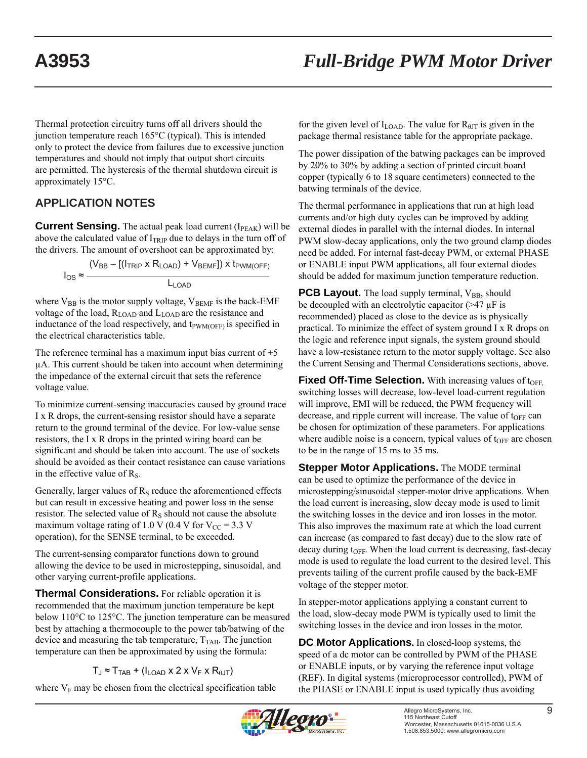Thermal protection circuitry turns off all drivers should the junction temperature reach 165°C (typical). This is intended only to protect the device from failures due to excessive junction temperatures and should not imply that output short circuits are permitted. The hysteresis of the thermal shutdown circuit is approximately 15°C.

# **APPLICATION NOTES**

**Current Sensing.** The actual peak load current (I<sub>PEAK</sub>) will be above the calculated value of  $I_{TRIP}$  due to delays in the turn off of the drivers. The amount of overshoot can be approximated by:

> $(V_{BB} - [(I_{TRIP} \times R_{LOAD}) + V_{BEMF}]) \times t_{PWM(OFF)}$ **L**LOAD  $I_{OS}$ ≈

where  $V_{BB}$  is the motor supply voltage,  $V_{BEMF}$  is the back-EMF voltage of the load,  $R_{\text{LOAD}}$  and  $L_{\text{LOAD}}$  are the resistance and inductance of the load respectively, and t<sub>PWM(OFF)</sub> is specified in the electrical characteristics table.

The reference terminal has a maximum input bias current of  $\pm$ 5 μA. This current should be taken into account when determining the impedance of the external circuit that sets the reference voltage value.

To minimize current-sensing inaccuracies caused by ground trace I x R drops, the current-sensing resistor should have a separate return to the ground terminal of the device. For low-value sense resistors, the I x R drops in the printed wiring board can be significant and should be taken into account. The use of sockets should be avoided as their contact resistance can cause variations in the effective value of  $R_s$ .

Generally, larger values of  $R<sub>S</sub>$  reduce the aforementioned effects but can result in excessive heating and power loss in the sense resistor. The selected value of  $R<sub>S</sub>$  should not cause the absolute maximum voltage rating of 1.0 V (0.4 V for  $V_{CC}$  = 3.3 V operation), for the SENSE terminal, to be exceeded.

The current-sensing comparator functions down to ground allowing the device to be used in microstepping, sinusoidal, and other varying current-profile applications.

**Thermal Considerations.** For reliable operation it is recommended that the maximum junction temperature be kept below 110°C to 125°C. The junction temperature can be measured best by attaching a thermocouple to the power tab/batwing of the device and measuring the tab temperature,  $T<sub>TAB</sub>$ . The junction temperature can then be approximated by using the formula:

# $T_J \approx T_{TAB} + (I_{LOAD} \times 2 \times V_F \times R_{\theta JT})$

where  $V_F$  may be chosen from the electrical specification table

for the given level of  $I_{\text{LOAD}}$ . The value for  $R_{\theta JT}$  is given in the package thermal resistance table for the appropriate package.

The power dissipation of the batwing packages can be improved by 20% to 30% by adding a section of printed circuit board copper (typically 6 to 18 square centimeters) connected to the batwing terminals of the device.

The thermal performance in applications that run at high load currents and/or high duty cycles can be improved by adding external diodes in parallel with the internal diodes. In internal PWM slow-decay applications, only the two ground clamp diodes need be added. For internal fast-decay PWM, or external PHASE or ENABLE input PWM applications, all four external diodes should be added for maximum junction temperature reduction.

**PCB Layout.** The load supply terminal, V<sub>BB</sub>, should be decoupled with an electrolytic capacitor  $($ >47  $\mu$ F is recommended) placed as close to the device as is physically practical. To minimize the effect of system ground I x R drops on the logic and reference input signals, the system ground should have a low-resistance return to the motor supply voltage. See also the Current Sensing and Thermal Considerations sections, above.

**Fixed Off-Time Selection.** With increasing values of t<sub>OFF</sub> switching losses will decrease, low-level load-current regulation will improve, EMI will be reduced, the PWM frequency will decrease, and ripple current will increase. The value of  $t_{\text{OFF}}$  can be chosen for optimization of these parameters. For applications where audible noise is a concern, typical values of  $t_{\text{OFF}}$  are chosen to be in the range of 15 ms to 35 ms.

**Stepper Motor Applications.** The MODE terminal can be used to optimize the performance of the device in microstepping/sinusoidal stepper-motor drive applications. When the load current is increasing, slow decay mode is used to limit the switching losses in the device and iron losses in the motor. This also improves the maximum rate at which the load current can increase (as compared to fast decay) due to the slow rate of decay during  $t_{\text{OFF}}$ . When the load current is decreasing, fast-decay mode is used to regulate the load current to the desired level. This prevents tailing of the current profile caused by the back-EMF voltage of the stepper motor.

In stepper-motor applications applying a constant current to the load, slow-decay mode PWM is typically used to limit the switching losses in the device and iron losses in the motor.

**DC Motor Applications.** In closed-loop systems, the speed of a dc motor can be controlled by PWM of the PHASE or ENABLE inputs, or by varying the reference input voltage (REF). In digital systems (microprocessor controlled), PWM of the PHASE or ENABLE input is used typically thus avoiding

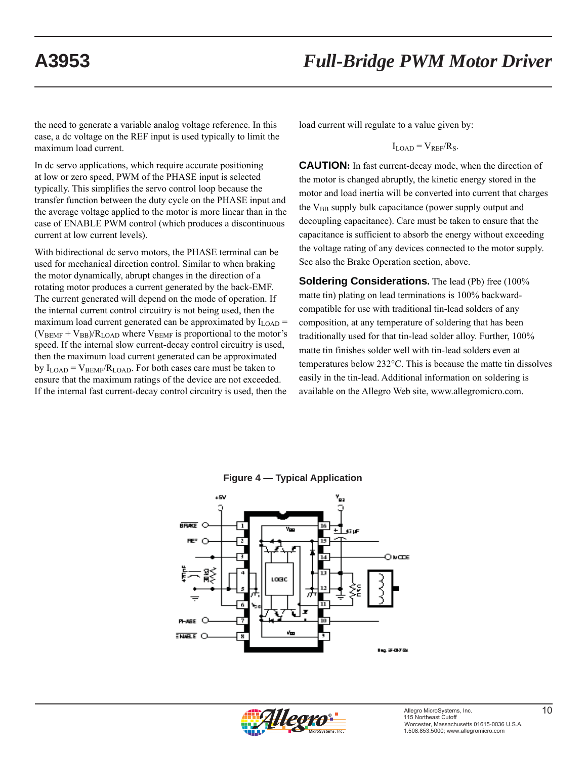the need to generate a variable analog voltage reference. In this case, a dc voltage on the REF input is used typically to limit the maximum load current.

In dc servo applications, which require accurate positioning at low or zero speed, PWM of the PHASE input is selected typically. This simplifies the servo control loop because the transfer function between the duty cycle on the PHASE input and the average voltage applied to the motor is more linear than in the case of ENABLE PWM control (which produces a discontinuous current at low current levels).

With bidirectional dc servo motors, the PHASE terminal can be used for mechanical direction control. Similar to when braking the motor dynamically, abrupt changes in the direction of a rotating motor produces a current generated by the back-EMF. The current generated will depend on the mode of operation. If the internal current control circuitry is not being used, then the maximum load current generated can be approximated by  $I_{\text{LOAD}} =$  $(V_{\text{BEMF}} + V_{\text{BB}})/R_{\text{LOAD}}$  where  $V_{\text{BEMF}}$  is proportional to the motor's speed. If the internal slow current-decay control circuitry is used, then the maximum load current generated can be approximated by  $I_{\text{LOAD}} = V_{\text{BEMF}}/R_{\text{LOAD}}$ . For both cases care must be taken to ensure that the maximum ratings of the device are not exceeded. If the internal fast current-decay control circuitry is used, then the load current will regulate to a value given by:

$$
I_{\rm LOAD} = V_{\rm REF}/R_S.
$$

**CAUTION:** In fast current-decay mode, when the direction of the motor is changed abruptly, the kinetic energy stored in the motor and load inertia will be converted into current that charges the  $V_{BB}$  supply bulk capacitance (power supply output and decoupling capacitance). Care must be taken to ensure that the capacitance is sufficient to absorb the energy without exceeding the voltage rating of any devices connected to the motor supply. See also the Brake Operation section, above.

**Soldering Considerations.** The lead (Pb) free (100% matte tin) plating on lead terminations is 100% backwardcompatible for use with traditional tin-lead solders of any composition, at any temperature of soldering that has been traditionally used for that tin-lead solder alloy. Further, 100% matte tin finishes solder well with tin-lead solders even at temperatures below 232°C. This is because the matte tin dissolves easily in the tin-lead. Additional information on soldering is available on the Allegro Web site, www.allegromicro.com.